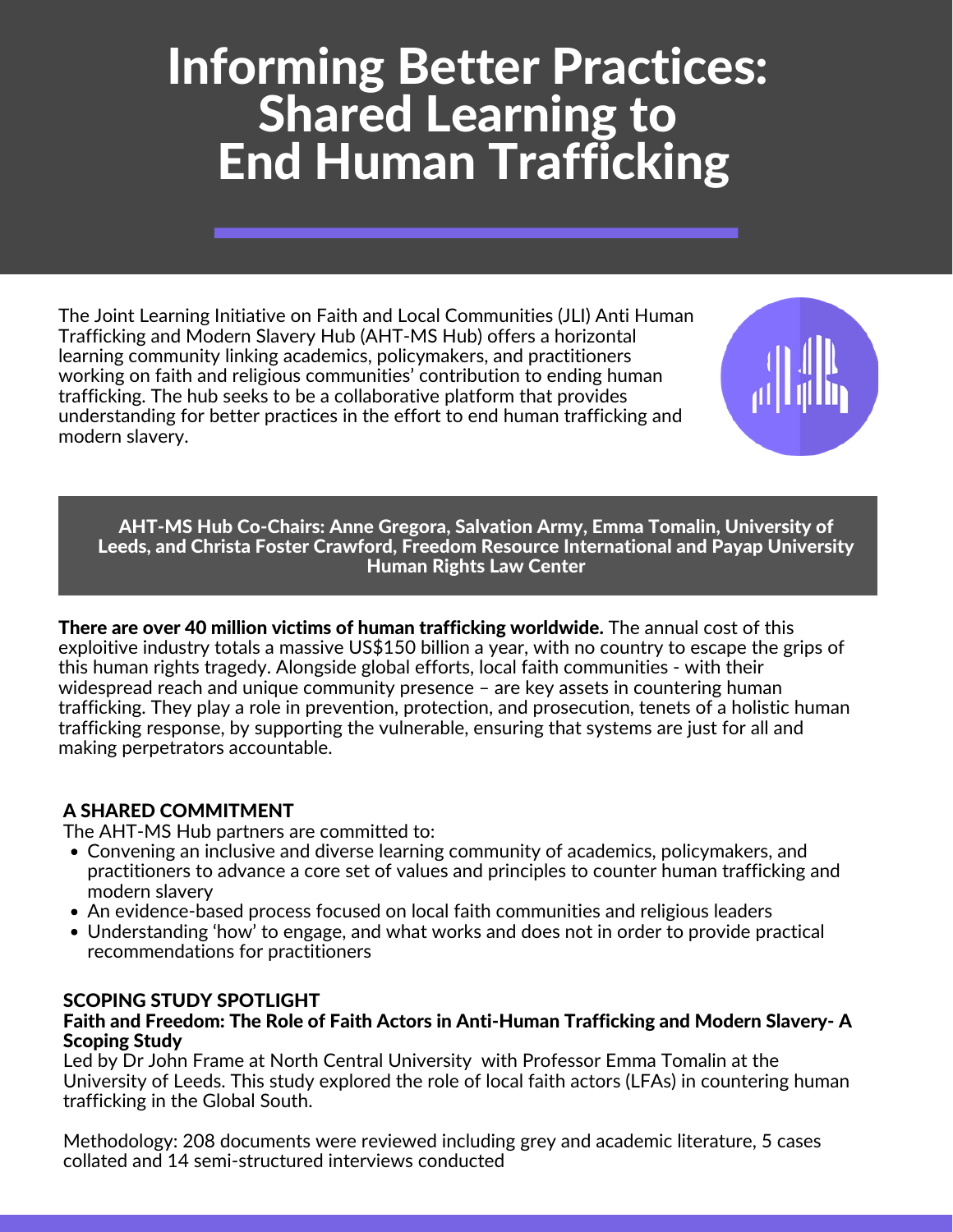# Informing Better Practices: Shared Learning to End Human Trafficking

The Joint Learning Initiative on Faith and Local Communities (JLI) Anti Human Trafficking and Modern Slavery Hub (AHT-MS Hub) offers a horizontal learning community linking academics, policymakers, and practitioners working on faith and religious communities' contribution to ending human trafficking. The hub seeks to be a collaborative platform that provides understanding for better practices in the effort to end human trafficking and modern slavery.



AHT-MS Hub Co-Chairs: Anne Gregora, Salvation Army, Emma Tomalin, University of Leeds, and Christa Foster Crawford, Freedom Resource International and Payap University Human Rights Law Center

There are over 40 million victims of human trafficking worldwide. The annual cost of this exploitive industry totals a massive US\$150 billion a year, with no country to escape the grips of this human rights tragedy. Alongside global efforts, local faith communities - with their widespread reach and unique community presence - are key assets in countering human trafficking. They play a role in prevention, protection, and prosecution, tenets of a holistic human trafficking response, by supporting the vulnerable, ensuring that systems are just for all and making perpetrators accountable.

### A SHARED COMMITMENT

The AHT-MS Hub partners are committed to:

- Convening an inclusive and diverse learning community of academics, policymakers, and practitioners to advance a core set of values and principles to counter human trafficking and modern slavery
- An evidence-based process focused on local faith communities and religious leaders
- Understanding 'how' to engage, and what works and does not in order to provide practical recommendations for practitioners

### SCOPING STUDY SPOTLIGHT

#### Faith and Freedom: The Role of Faith Actors in Anti-Human Trafficking and Modern Slavery- A Scoping Study

Led by Dr John Frame at North Central University with Professor Emma Tomalin at the University of Leeds. This study explored the role of local faith actors (LFAs) in countering human trafficking in the Global South.

Methodology: 208 documents were reviewed including grey and academic literature, 5 cases collated and 14 semi-structured interviews conducted